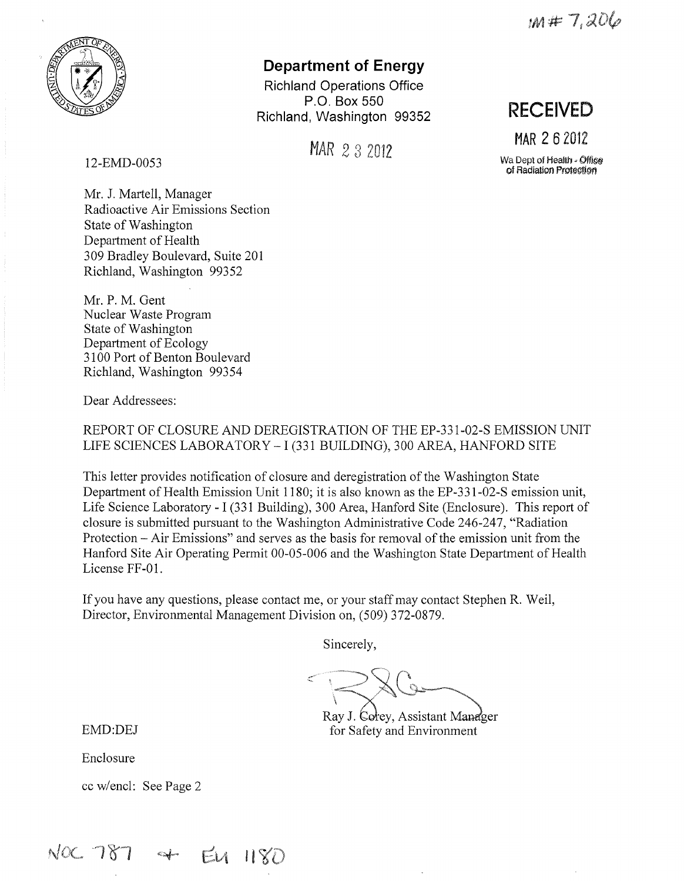$m#7,206$ 



# **Department of Energy**

**Richland Operations Office P.O. Box 550 Richland, Washington 99352** 

MAR 2 3 2012

12-EMD-0053

Mr. J. Martell, Manager Radioactive Air Emissions Section State of Washington Department of Health 309 Bradley Boulevard, Suite 201 Richland, Washington 99352

Mr. P. M. Gent Nuclear Waste Program State of Washington Department of Ecology 3100 Port of Benton Boulevard Richland, Washington 99354

Dear Addressees:

REPORT OF CLOSURE AND DEREGISTRATION OF THE EP-331-02-S EMISSION UNIT LIFE SCIENCES LABORATORY - I (331 BUILDING), 300 AREA, HANFORD SITE

This letter provides notification of closure and deregistration of the Washington State Department of Health Emission Unit 1180; it is also known as the EP-331-02-S emission unit, Life Science Laboratory - I (331 Building), 300 Area, Hanford Site (Enclosure). This report of closure is submitted pursuant to the Washington Administrative Code 246-247, "Radiation Protection - Air Emissions" and serves as the basis for removal of the emission unit from the Hanford Site Air Operating Permit 00-05-006 and the Washington State Department of Health License FF-01.

If you have any questions, please contact me, or your staff may contact Stephen R. Weil, Director, Environmental Management Division on, (509) 372-0879.

Sincerely,

Ray J. Corey, Assistant Manager

EMD:DEJ for Safety and Environment

Enclosure

cc w/encl: See Page 2

 $NOC$  787 + EU 1180

**RECEIVED** 

**MAR 2 6** <sup>2012</sup>

Wa Dept of Health, *Oifi§§*  of Radiation Protection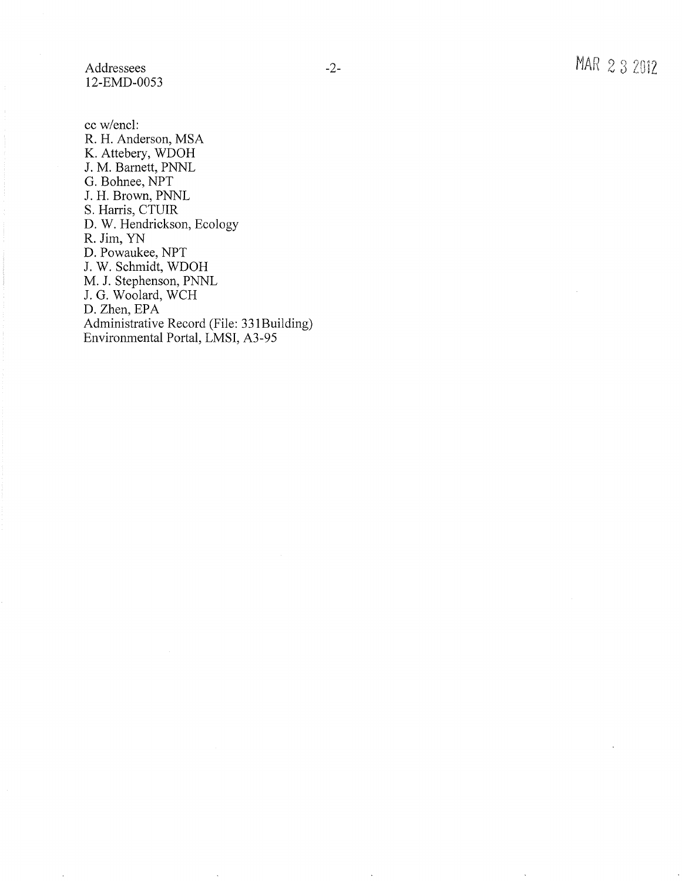Addressees 12-EMD-0053

cc w/encl: R. H. Anderson, MSA K. Attebery, WDOH J. M. Barnett, PNNL G. Bohnee, NPT J. H. Brown, PNNL S. Harris, CTUIR D. W. Hendrickson, Ecology R. Jim, YN D. Powaukee, NPT J. W. Schmidt, WDOH M. J. Stephenson, PNNL J. G. Woolard, WCH D. Zhen, EPA Administrative Record (File: 33 IBuilding) Environmental Portal, LMSI, A3-95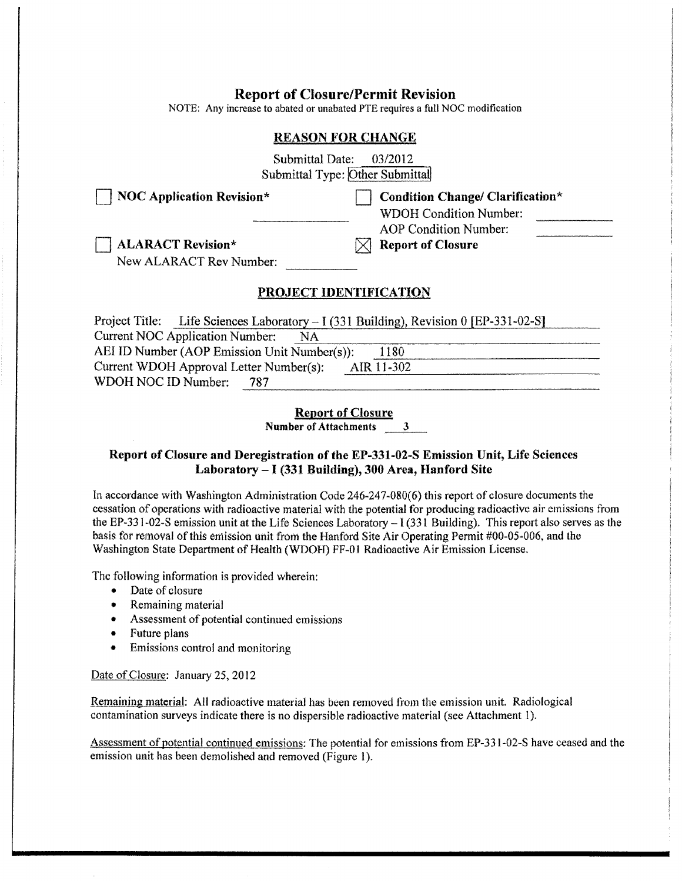## **Report of Closure/Permit Revision**

NOTE: Any increase to abated or unabated PTE requires a full NOC modification

#### **REASON FOR CHANGE**

Submittal Date: 03/2012 Submittal Type: Other Submittal

**NOC Application Revision\* Department Condition Change/ Clarification\*** 

WDOH Condition Number: AOP Condition Number:

 $\boxtimes$  **Report of Closure** 

D **ALARACT Revision\*** 

New ALARACT Rev Number:

## **PROJECT IDENTIFICATION**

| Project Title: Life Sciences Laboratory – I (331 Building), Revision 0 [EP-331-02-S] |
|--------------------------------------------------------------------------------------|
| <b>Current NOC Application Number:</b><br>NA                                         |
| AEI ID Number (AOP Emission Unit Number(s)):<br>1180                                 |
| Current WDOH Approval Letter Number(s):<br>AIR 11-302                                |
| WDOH NOC ID Number:<br>787                                                           |
|                                                                                      |

**Report of Closure** 

**Number of Attachments 3** 

## **Report of Closure and Deregistration of the EP-331-02-S Emission Unit, Life Sciences Laboratory** -I **(331 Building), 300 Area, Hanford Site**

In accordance with Washington Administration Code 246-247-080(6) this report of closure documents the cessation of operations with radioactive material with the potential for producing radioactive air emissions from the EP-331-02-S emission unit at the Life Sciences Laboratory  $-1(331)$  Building). This report also serves as the basis for removal of this emission unit from the Hanford Site Air Operating Permit #00-05-006, and the Washington State Department of Health (WDOH) FF-01 Radioactive Air Emission License.

The following information is provided wherein:

- Date of closure
- Remaining material
- Assessment of potential continued emissions
- Future plans
- Emissions control and monitoring

#### Date of Closure: January 25, 2012

Remaining material: All radioactive material has been removed from the emission unit. Radiological contamination surveys indicate there is no dispersible radioactive material (see Attachment l).

Assessment of potential continued emissions: The potential for emissions from EP-331-02-S have ceased and the emission unit has been demolished and removed (Figure I).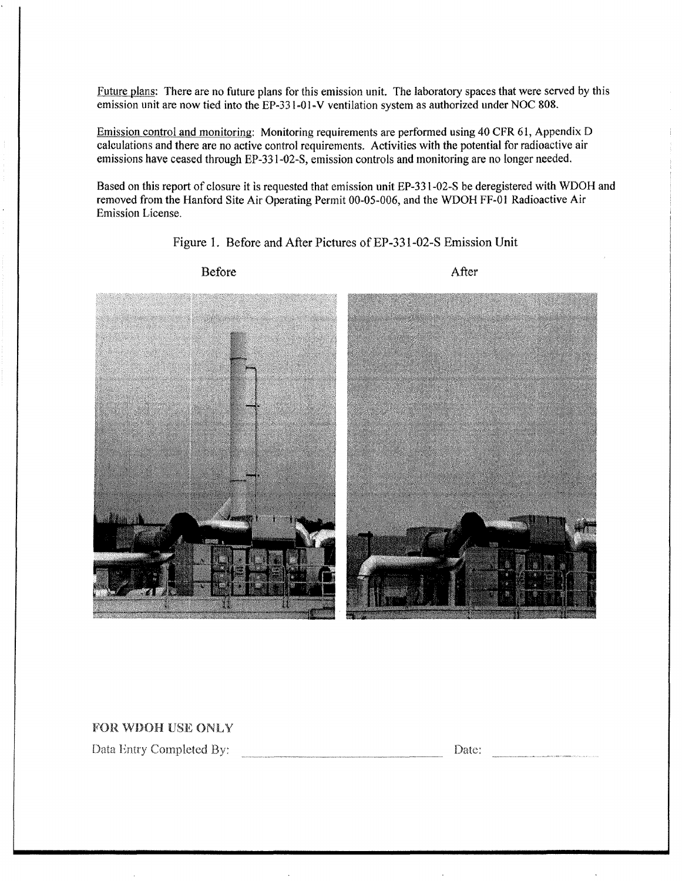Future plans: There are no future plans for this emission unit. The laboratory spaces that were served by this emission unit are now tied into the EP-33l-01-V ventilation system as authorized under NOC 808.

Emission control and monitoring: Monitoring requirements are performed using 40 CFR 61, Appendix D calculations and there are no active control requirements. Activities with the potential for radioactive air emissions have ceased through EP-331-02-S, emission controls and monitoring are no longer needed.

Based on this report of closure it is requested that emission unit EP-331-02-S be deregistered with WDOH and removed from the Hanford Site Air Operating Permit 00-05-006, and the WDOH FF-01 Radioactive Air Emission License.

Figure I. Before and After Pictures of EP-331-02-S Emission Unit



Before

After

## FOR WDOH USE ONLY

Data Entry Completed By:

Date:  $\overline{\phantom{a}}$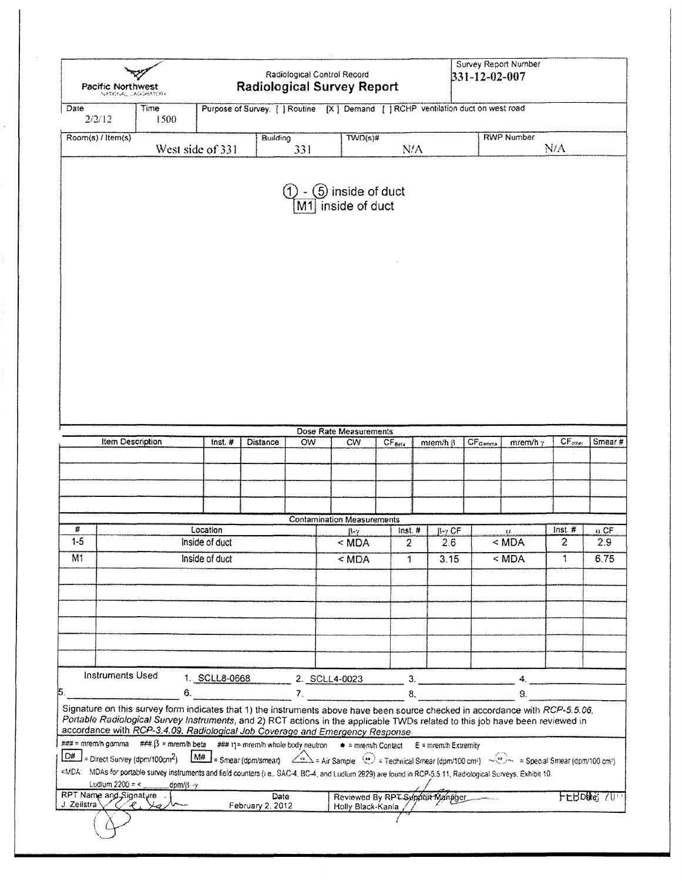| Pacific Northwest<br><b>NATIONAL LADORATION</b> |                         | <b>Survey Report Number</b><br>Radiological Control Record<br>331-12-02-007<br><b>Radiological Survey Report</b> |                  |                                                                                                                                                                                                                                                                                                                                                                                                          |                                                          |                    |                  |                                  |                     |                    |
|-------------------------------------------------|-------------------------|------------------------------------------------------------------------------------------------------------------|------------------|----------------------------------------------------------------------------------------------------------------------------------------------------------------------------------------------------------------------------------------------------------------------------------------------------------------------------------------------------------------------------------------------------------|----------------------------------------------------------|--------------------|------------------|----------------------------------|---------------------|--------------------|
| Date<br>2/2/12                                  |                         | Time<br>1500                                                                                                     |                  | Purpose of Survey: [ ] Routine [X ] Demand [ ] RCHP ventilation duct on west road                                                                                                                                                                                                                                                                                                                        |                                                          |                    |                  |                                  |                     |                    |
| Room(s) / Item(s)                               |                         |                                                                                                                  |                  | Building                                                                                                                                                                                                                                                                                                                                                                                                 | $TWD(s)$ #                                               |                    |                  | <b>RWP Number</b>                |                     |                    |
|                                                 |                         |                                                                                                                  | West side of 331 | 331                                                                                                                                                                                                                                                                                                                                                                                                      |                                                          | N/A                |                  |                                  | N/A                 |                    |
|                                                 |                         |                                                                                                                  |                  | M1                                                                                                                                                                                                                                                                                                                                                                                                       | (5) inside of duct<br>inside of duct                     |                    |                  |                                  |                     |                    |
|                                                 |                         |                                                                                                                  |                  |                                                                                                                                                                                                                                                                                                                                                                                                          |                                                          |                    |                  |                                  |                     |                    |
|                                                 |                         |                                                                                                                  |                  |                                                                                                                                                                                                                                                                                                                                                                                                          |                                                          |                    |                  |                                  |                     |                    |
|                                                 |                         |                                                                                                                  |                  |                                                                                                                                                                                                                                                                                                                                                                                                          |                                                          |                    |                  |                                  |                     |                    |
|                                                 |                         |                                                                                                                  |                  |                                                                                                                                                                                                                                                                                                                                                                                                          |                                                          |                    |                  |                                  |                     |                    |
|                                                 |                         |                                                                                                                  |                  |                                                                                                                                                                                                                                                                                                                                                                                                          |                                                          |                    |                  |                                  |                     |                    |
|                                                 |                         |                                                                                                                  |                  |                                                                                                                                                                                                                                                                                                                                                                                                          | Dose Rate Measurements                                   |                    |                  |                                  |                     |                    |
|                                                 | <b>Item Description</b> |                                                                                                                  | $f$ nst, #       | <b>Distance</b><br>OW                                                                                                                                                                                                                                                                                                                                                                                    | CW                                                       | CF <sub>Bris</sub> | $m$ em/h $\beta$ | $CF_{Gsmana}$<br>mrem/h $\gamma$ | CF <sub>other</sub> | Smear#             |
|                                                 |                         |                                                                                                                  |                  |                                                                                                                                                                                                                                                                                                                                                                                                          |                                                          |                    |                  |                                  |                     |                    |
|                                                 |                         |                                                                                                                  |                  |                                                                                                                                                                                                                                                                                                                                                                                                          |                                                          |                    |                  |                                  |                     |                    |
|                                                 |                         |                                                                                                                  |                  |                                                                                                                                                                                                                                                                                                                                                                                                          |                                                          |                    |                  |                                  |                     |                    |
|                                                 |                         |                                                                                                                  |                  |                                                                                                                                                                                                                                                                                                                                                                                                          |                                                          |                    |                  |                                  |                     |                    |
|                                                 |                         |                                                                                                                  |                  |                                                                                                                                                                                                                                                                                                                                                                                                          | <b>Contamination Measurements</b>                        |                    |                  |                                  |                     |                    |
| #                                               |                         |                                                                                                                  | Location         |                                                                                                                                                                                                                                                                                                                                                                                                          | ß-7                                                      | $inst.$ #          | β-γ CF           | U.                               | inst. #             | $\alpha$ CF        |
| $1 - 5$                                         |                         |                                                                                                                  | Inside of duct   |                                                                                                                                                                                                                                                                                                                                                                                                          | < MDA                                                    | 2                  | 2.6              | $<$ MDA                          | 2<br>1              | 2.9                |
| M1                                              |                         |                                                                                                                  | Inside of duct   |                                                                                                                                                                                                                                                                                                                                                                                                          | $<$ MDA                                                  | 1                  | 3.15             | $MDA$                            |                     | 6,75               |
|                                                 |                         |                                                                                                                  |                  |                                                                                                                                                                                                                                                                                                                                                                                                          |                                                          |                    |                  |                                  |                     |                    |
|                                                 |                         |                                                                                                                  |                  |                                                                                                                                                                                                                                                                                                                                                                                                          |                                                          |                    |                  |                                  |                     |                    |
|                                                 |                         |                                                                                                                  |                  |                                                                                                                                                                                                                                                                                                                                                                                                          |                                                          |                    |                  |                                  |                     |                    |
|                                                 |                         |                                                                                                                  |                  |                                                                                                                                                                                                                                                                                                                                                                                                          |                                                          |                    |                  |                                  |                     |                    |
|                                                 |                         |                                                                                                                  |                  |                                                                                                                                                                                                                                                                                                                                                                                                          |                                                          |                    |                  |                                  |                     |                    |
|                                                 | <b>Instruments Used</b> |                                                                                                                  |                  |                                                                                                                                                                                                                                                                                                                                                                                                          |                                                          |                    |                  |                                  |                     |                    |
|                                                 |                         | 6.                                                                                                               | 1. SCLL8-0668    |                                                                                                                                                                                                                                                                                                                                                                                                          | 2. SCLL4-0023                                            | 8.                 |                  | 9.                               |                     |                    |
|                                                 |                         |                                                                                                                  |                  | Signature on this survey form indicates that 1) the instruments above have been source checked in accordance with RCP-5.5.06,<br>Portable Radiological Survey Instruments, and 2) RCT actions in the applicable TWDs related to this job have been reviewed in                                                                                                                                           | 7.                                                       |                    |                  |                                  |                     |                    |
|                                                 |                         | $\boxed{\text{DM}}$ = Direct Survey (dpm/100cm <sup>2</sup> )                                                    |                  | accordance with RCP-3.4.09, Radiological Job Coverage and Emergency Response.<br>### = overwh gemma ###. [3 = mrem/h beta ### n] = mrem/h whole body neutron = # = mrem/h Contact = E = mrem/h Extremity<br>$\boxed{\text{M#}}$ = Smear (dpm/smear) $\angle$ = Air Sample $\textcircled{\tiny{2}}$ = Technical Smear (dpm/100 cm <sup>2</sup> ) $\rightarrow$ = Special Smear (dpm/100 cm <sup>2</sup> ) |                                                          |                    |                  |                                  |                     |                    |
|                                                 | Lodlum $2200 = 5$       | dpm/ji--y                                                                                                        |                  | <mda: (i.e.,="" 10.<="" 2929)="" and="" are="" bc-4,="" counters="" exhibit="" field="" for="" found="" in="" instruments="" ludium="" mdas="" portable="" radiological="" rcp-5.5.11,="" sac-4,="" survey="" surveys,="" td=""><td></td><td></td><td></td><td></td><td></td><td></td></mda:>                                                                                                            |                                                          |                    |                  |                                  |                     |                    |
| J. Zeilstra                                     |                         | RPT Name and Signature<br>سمار وراير<br>$\mathcal{L}$                                                            |                  | Date<br>February 2, 2012                                                                                                                                                                                                                                                                                                                                                                                 | Reviewed By RPT Sylpbur Manager<br>Holly Black-Kania / / |                    |                  |                                  |                     | <b>LERDAR SDIA</b> |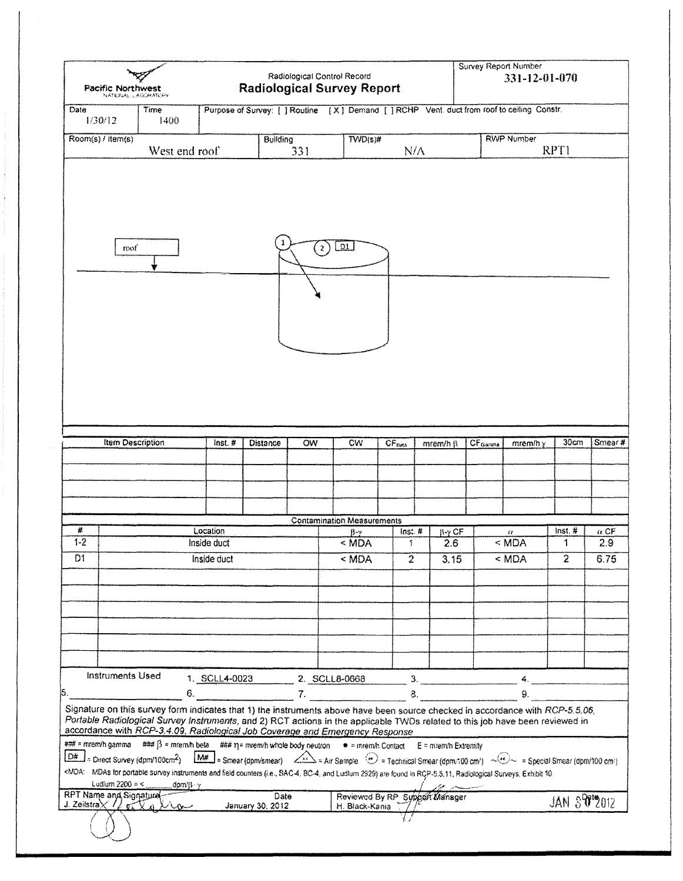| <b>Pacific Northwest</b>                      | NATIONAL CASCRATION                                                                                                                                                                                                                                                                                                                                                                                                                                                                                                                                                                                                                                                                                                                      |                                                                                                                                                                      |                          |              | Radiological Control Record<br><b>Radiological Survey Report</b> |                         |                                |                      | <b>Survey Report Number</b><br>331-12-01-070 |                     |             |
|-----------------------------------------------|------------------------------------------------------------------------------------------------------------------------------------------------------------------------------------------------------------------------------------------------------------------------------------------------------------------------------------------------------------------------------------------------------------------------------------------------------------------------------------------------------------------------------------------------------------------------------------------------------------------------------------------------------------------------------------------------------------------------------------------|----------------------------------------------------------------------------------------------------------------------------------------------------------------------|--------------------------|--------------|------------------------------------------------------------------|-------------------------|--------------------------------|----------------------|----------------------------------------------|---------------------|-------------|
| Date<br>1/30/12                               | Time<br>1400                                                                                                                                                                                                                                                                                                                                                                                                                                                                                                                                                                                                                                                                                                                             | Purpose of Survey: [ ] Routine [X ] Demand [ ] RCHP Vent. duct from roof to ceiling Constr.                                                                          |                          |              |                                                                  |                         |                                |                      |                                              |                     |             |
| $Room(s)$ / item(s)                           | West end roof                                                                                                                                                                                                                                                                                                                                                                                                                                                                                                                                                                                                                                                                                                                            |                                                                                                                                                                      | <b>Building</b>          | 331          | $\overline{\text{TWD}(s)}$ #                                     |                         | N/A                            |                      | <b>RWP Number</b>                            | RPT1                |             |
|                                               |                                                                                                                                                                                                                                                                                                                                                                                                                                                                                                                                                                                                                                                                                                                                          |                                                                                                                                                                      |                          |              |                                                                  |                         |                                |                      |                                              |                     |             |
| roof                                          |                                                                                                                                                                                                                                                                                                                                                                                                                                                                                                                                                                                                                                                                                                                                          |                                                                                                                                                                      |                          | $\mathbf{2}$ | <u>_01 J</u>                                                     |                         |                                |                      |                                              |                     |             |
|                                               | <b>Item Description</b>                                                                                                                                                                                                                                                                                                                                                                                                                                                                                                                                                                                                                                                                                                                  | $lnst.$ #                                                                                                                                                            | Distance                 | OW           | CW                                                               | <b>CF<sub>BMA</sub></b> | mrem/h ß                       | CF <sub>Garana</sub> | $m$ em/h $y$                                 | 30cm                | Smear#      |
|                                               |                                                                                                                                                                                                                                                                                                                                                                                                                                                                                                                                                                                                                                                                                                                                          |                                                                                                                                                                      |                          |              |                                                                  |                         |                                |                      |                                              |                     |             |
| #                                             |                                                                                                                                                                                                                                                                                                                                                                                                                                                                                                                                                                                                                                                                                                                                          | Location                                                                                                                                                             |                          |              | <b>Contamination Measurements</b><br>{}-∍                        | Inst. #                 | $\mathbb{F}$ y CF              |                      | $\ell t$                                     | inst. #             | $\alpha$ CF |
| $1 - 2$                                       |                                                                                                                                                                                                                                                                                                                                                                                                                                                                                                                                                                                                                                                                                                                                          | Inside duct                                                                                                                                                          |                          |              | $<$ MDA                                                          | 1                       | 2.6                            |                      | $<$ MDA                                      | 1                   | 2.9         |
| D1                                            |                                                                                                                                                                                                                                                                                                                                                                                                                                                                                                                                                                                                                                                                                                                                          | Inside duct                                                                                                                                                          |                          |              | < MDA                                                            | $\overline{2}$          | 3.15                           |                      | < MDA                                        | $\overline{2}$      | 6.75        |
|                                               |                                                                                                                                                                                                                                                                                                                                                                                                                                                                                                                                                                                                                                                                                                                                          |                                                                                                                                                                      |                          |              |                                                                  |                         |                                |                      |                                              |                     |             |
|                                               |                                                                                                                                                                                                                                                                                                                                                                                                                                                                                                                                                                                                                                                                                                                                          |                                                                                                                                                                      |                          |              |                                                                  |                         |                                |                      |                                              |                     |             |
| <b>Instruments Used</b>                       | 6.                                                                                                                                                                                                                                                                                                                                                                                                                                                                                                                                                                                                                                                                                                                                       | 1. SCLL4-0023                                                                                                                                                        |                          |              | 2. SCLL8-0668                                                    |                         | 3.<br>8.                       |                      | 9.                                           |                     |             |
| ### = mrem/h gamma<br> D# <br>Ludlum 2200 = < | Signature on this survey form indicates that 1) the instruments above have been source checked in accordance with RCP-5.5.06,<br>Portable Radiological Survey Instruments, and 2) RCT actions in the applicable TWDs related to this job have been reviewed in<br>accordance with RCP-3.4.09, Radiological Job Coverage and Emergency Response<br>### $\beta$ = mrem/h beta ### $\eta$ = mrem/h whole body neutron $\bullet$ = mrem/h Contact<br>= Direct Survey (dpm/100cm <sup>2</sup> )<br><mda: (i.e.,="" 10.<br="" 2929)="" and="" are="" bc-4,="" counters="" exhibit="" field="" for="" found="" in="" instruments="" ludium="" mdas="" portable="" radiological="" rcp-5.5.11,="" sac-4,="" survey="" surveys,="">dom/B-y</mda:> | $\boxed{\text{MH}}$ = Smear (dpn/smear) $\angle$ = Air Sample $\odot$ = Technical Smear (dpn/100 cm <sup>2</sup> ) $\sim$ = Special Smear (dpn/100 cm <sup>2</sup> ) |                          |              |                                                                  |                         | E = mrem/h Extremity           |                      |                                              |                     |             |
| RPT Name and Signature                        | J. Zeilstra X 1/02 2010                                                                                                                                                                                                                                                                                                                                                                                                                                                                                                                                                                                                                                                                                                                  |                                                                                                                                                                      | Date<br>January 30, 2012 |              | H. Black-Kania                                                   |                         | Reviewed By RP Support Manager |                      |                                              | <b>JAN 39012012</b> |             |
|                                               |                                                                                                                                                                                                                                                                                                                                                                                                                                                                                                                                                                                                                                                                                                                                          |                                                                                                                                                                      |                          |              |                                                                  |                         |                                |                      |                                              |                     |             |